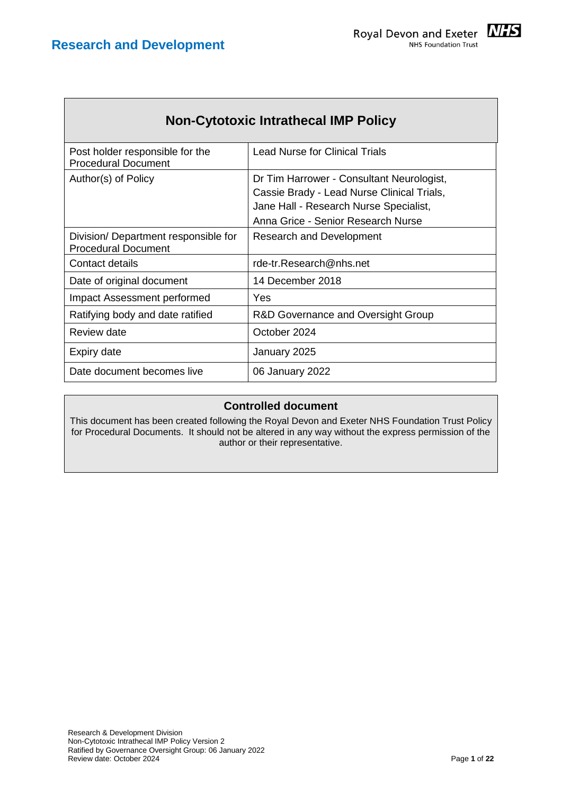

| <b>Non-Cytotoxic Intrathecal IMP Policy</b>                       |                                                                                                                                                                         |  |  |  |
|-------------------------------------------------------------------|-------------------------------------------------------------------------------------------------------------------------------------------------------------------------|--|--|--|
| Post holder responsible for the<br><b>Procedural Document</b>     | <b>Lead Nurse for Clinical Trials</b>                                                                                                                                   |  |  |  |
| Author(s) of Policy                                               | Dr Tim Harrower - Consultant Neurologist,<br>Cassie Brady - Lead Nurse Clinical Trials,<br>Jane Hall - Research Nurse Specialist,<br>Anna Grice - Senior Research Nurse |  |  |  |
| Division/Department responsible for<br><b>Procedural Document</b> | <b>Research and Development</b>                                                                                                                                         |  |  |  |
| Contact details                                                   | rde-tr.Research@nhs.net                                                                                                                                                 |  |  |  |
| Date of original document                                         | 14 December 2018                                                                                                                                                        |  |  |  |
| Impact Assessment performed                                       | Yes                                                                                                                                                                     |  |  |  |
| Ratifying body and date ratified                                  | R&D Governance and Oversight Group                                                                                                                                      |  |  |  |
| Review date                                                       | October 2024                                                                                                                                                            |  |  |  |
| Expiry date                                                       | January 2025                                                                                                                                                            |  |  |  |
| Date document becomes live                                        | 06 January 2022                                                                                                                                                         |  |  |  |

#### **Controlled document**

This document has been created following the Royal Devon and Exeter NHS Foundation Trust Policy for Procedural Documents. It should not be altered in any way without the express permission of the author or their representative.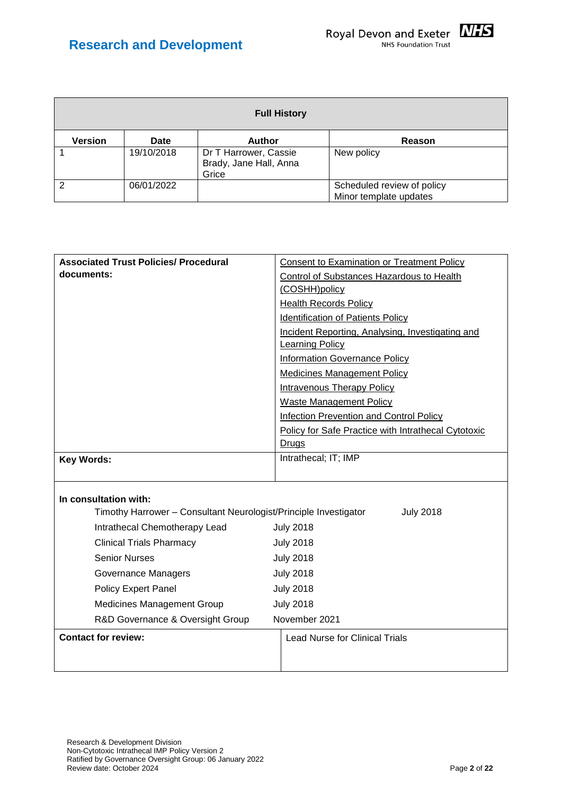

| <b>Full History</b> |             |                                                          |                                                      |  |
|---------------------|-------------|----------------------------------------------------------|------------------------------------------------------|--|
| <b>Version</b>      | <b>Date</b> | <b>Author</b>                                            | Reason                                               |  |
|                     | 19/10/2018  | Dr T Harrower, Cassie<br>Brady, Jane Hall, Anna<br>Grice | New policy                                           |  |
| っ                   | 06/01/2022  |                                                          | Scheduled review of policy<br>Minor template updates |  |

| <b>Associated Trust Policies/ Procedural</b>                     | <b>Consent to Examination or Treatment Policy</b>                          |  |  |
|------------------------------------------------------------------|----------------------------------------------------------------------------|--|--|
| documents:                                                       | Control of Substances Hazardous to Health                                  |  |  |
|                                                                  | (COSHH)policy                                                              |  |  |
|                                                                  | <b>Health Records Policy</b>                                               |  |  |
|                                                                  | <b>Identification of Patients Policy</b>                                   |  |  |
|                                                                  | Incident Reporting, Analysing, Investigating and<br><b>Learning Policy</b> |  |  |
|                                                                  | <b>Information Governance Policy</b>                                       |  |  |
|                                                                  | <b>Medicines Management Policy</b>                                         |  |  |
|                                                                  | <b>Intravenous Therapy Policy</b>                                          |  |  |
|                                                                  | <b>Waste Management Policy</b>                                             |  |  |
|                                                                  | Infection Prevention and Control Policy                                    |  |  |
|                                                                  | <b>Policy for Safe Practice with Intrathecal Cytotoxic</b>                 |  |  |
|                                                                  | Drugs                                                                      |  |  |
| <b>Key Words:</b>                                                | Intrathecal; IT; IMP                                                       |  |  |
|                                                                  |                                                                            |  |  |
| In consultation with:                                            |                                                                            |  |  |
| Timothy Harrower - Consultant Neurologist/Principle Investigator | <b>July 2018</b>                                                           |  |  |
| Intrathecal Chemotherapy Lead                                    | <b>July 2018</b>                                                           |  |  |
| <b>Clinical Trials Pharmacy</b>                                  | <b>July 2018</b>                                                           |  |  |
| <b>Senior Nurses</b>                                             | <b>July 2018</b>                                                           |  |  |
| Governance Managers                                              | <b>July 2018</b>                                                           |  |  |
| <b>Policy Expert Panel</b>                                       | <b>July 2018</b>                                                           |  |  |
| Medicines Management Group                                       | <b>July 2018</b>                                                           |  |  |
| R&D Governance & Oversight Group                                 | November 2021                                                              |  |  |
| <b>Contact for review:</b>                                       | <b>Lead Nurse for Clinical Trials</b>                                      |  |  |
|                                                                  |                                                                            |  |  |
|                                                                  |                                                                            |  |  |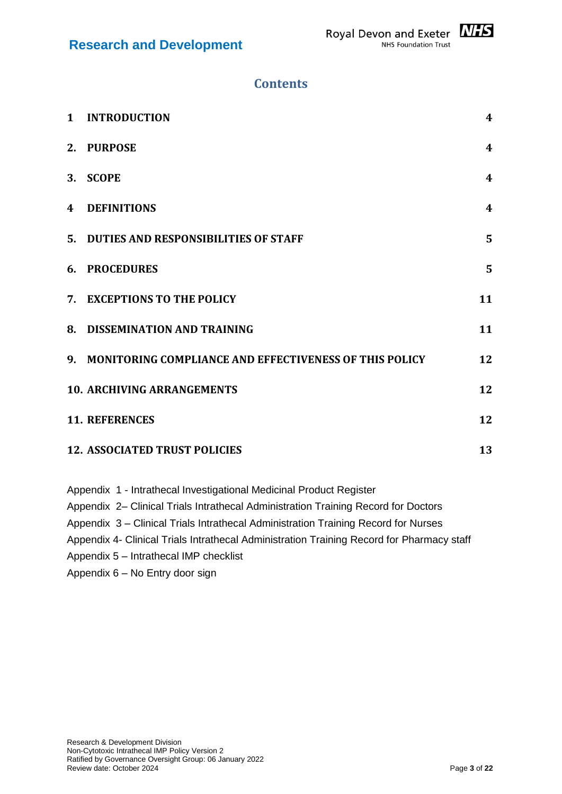# **Contents**

| $\mathbf{1}$ | <b>INTRODUCTION</b>                                       | 4                |
|--------------|-----------------------------------------------------------|------------------|
|              | 2. PURPOSE                                                | $\boldsymbol{4}$ |
| 3.           | <b>SCOPE</b>                                              | $\boldsymbol{4}$ |
| 4            | <b>DEFINITIONS</b>                                        | $\boldsymbol{4}$ |
|              | 5. DUTIES AND RESPONSIBILITIES OF STAFF                   | 5                |
|              | <b>6. PROCEDURES</b>                                      | 5                |
|              | 7. EXCEPTIONS TO THE POLICY                               | 11               |
|              | 8. DISSEMINATION AND TRAINING                             | 11               |
|              | 9. MONITORING COMPLIANCE AND EFFECTIVENESS OF THIS POLICY | 12               |
|              | <b>10. ARCHIVING ARRANGEMENTS</b>                         | 12               |
|              | <b>11. REFERENCES</b>                                     | 12               |
|              | <b>12. ASSOCIATED TRUST POLICIES</b>                      | 13               |

- Appendix 1 Intrathecal Investigational Medicinal Product Register
- Appendix 2– Clinical Trials Intrathecal Administration Training Record for Doctors
- Appendix 3 Clinical Trials Intrathecal Administration Training Record for Nurses
- Appendix 4- Clinical Trials Intrathecal Administration Training Record for Pharmacy staff
- Appendix 5 Intrathecal IMP checklist
- Appendix 6 No Entry door sign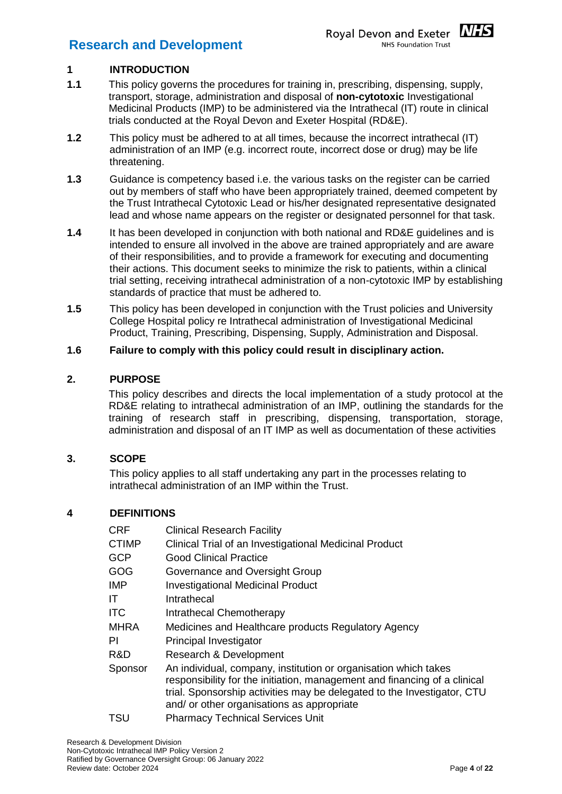### <span id="page-3-0"></span>**1 INTRODUCTION**

- **1.1** This policy governs the procedures for training in, prescribing, dispensing, supply, transport, storage, administration and disposal of **non-cytotoxic** Investigational Medicinal Products (IMP) to be administered via the Intrathecal (IT) route in clinical trials conducted at the Royal Devon and Exeter Hospital (RD&E).
- **1.2** This policy must be adhered to at all times, because the incorrect intrathecal (IT) administration of an IMP (e.g. incorrect route, incorrect dose or drug) may be life threatening.
- **1.3** Guidance is competency based i.e. the various tasks on the register can be carried out by members of staff who have been appropriately trained, deemed competent by the Trust Intrathecal Cytotoxic Lead or his/her designated representative designated lead and whose name appears on the register or designated personnel for that task.
- **1.4** It has been developed in conjunction with both national and RD&E guidelines and is intended to ensure all involved in the above are trained appropriately and are aware of their responsibilities, and to provide a framework for executing and documenting their actions. This document seeks to minimize the risk to patients, within a clinical trial setting, receiving intrathecal administration of a non-cytotoxic IMP by establishing standards of practice that must be adhered to.
- **1.5** This policy has been developed in conjunction with the Trust policies and University College Hospital policy re Intrathecal administration of Investigational Medicinal Product, Training, Prescribing, Dispensing, Supply, Administration and Disposal.

#### **1.6 Failure to comply with this policy could result in disciplinary action.**

#### <span id="page-3-1"></span>**2. PURPOSE**

This policy describes and directs the local implementation of a study protocol at the RD&E relating to intrathecal administration of an IMP, outlining the standards for the training of research staff in prescribing, dispensing, transportation, storage, administration and disposal of an IT IMP as well as documentation of these activities

#### <span id="page-3-2"></span>**3. SCOPE**

This policy applies to all staff undertaking any part in the processes relating to intrathecal administration of an IMP within the Trust.

#### <span id="page-3-3"></span>**4 DEFINITIONS**

| <b>CRF</b>   | <b>Clinical Research Facility</b>                                                                                                                                                                                                                                     |
|--------------|-----------------------------------------------------------------------------------------------------------------------------------------------------------------------------------------------------------------------------------------------------------------------|
| <b>CTIMP</b> | Clinical Trial of an Investigational Medicinal Product                                                                                                                                                                                                                |
| <b>GCP</b>   | <b>Good Clinical Practice</b>                                                                                                                                                                                                                                         |
| GOG          | Governance and Oversight Group                                                                                                                                                                                                                                        |
| <b>IMP</b>   | <b>Investigational Medicinal Product</b>                                                                                                                                                                                                                              |
| ΙT           | Intrathecal                                                                                                                                                                                                                                                           |
| <b>ITC</b>   | Intrathecal Chemotherapy                                                                                                                                                                                                                                              |
| <b>MHRA</b>  | Medicines and Healthcare products Regulatory Agency                                                                                                                                                                                                                   |
| ΡI           | Principal Investigator                                                                                                                                                                                                                                                |
| R&D          | Research & Development                                                                                                                                                                                                                                                |
| Sponsor      | An individual, company, institution or organisation which takes<br>responsibility for the initiation, management and financing of a clinical<br>trial. Sponsorship activities may be delegated to the Investigator, CTU<br>and/ or other organisations as appropriate |
| TSU          | <b>Pharmacy Technical Services Unit</b>                                                                                                                                                                                                                               |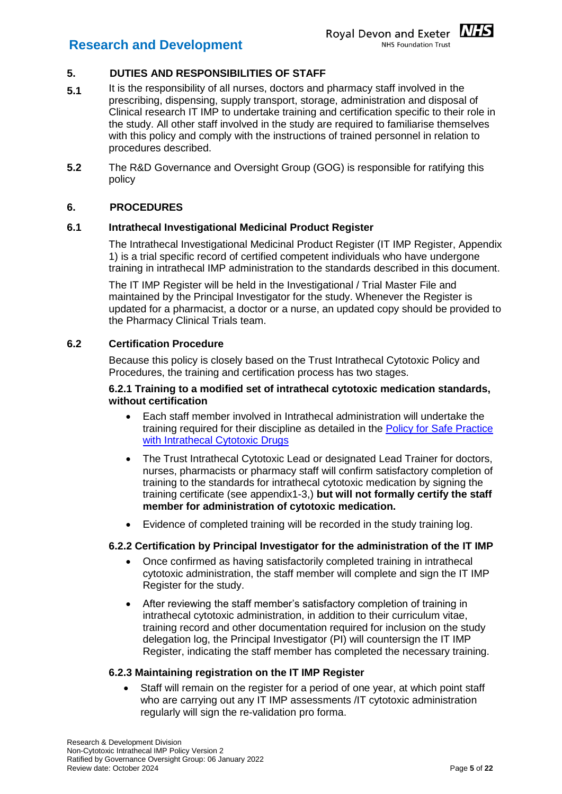<span id="page-4-0"></span>

- **5.1** It is the responsibility of all nurses, doctors and pharmacy staff involved in the prescribing, dispensing, supply transport, storage, administration and disposal of Clinical research IT IMP to undertake training and certification specific to their role in the study. All other staff involved in the study are required to familiarise themselves with this policy and comply with the instructions of trained personnel in relation to procedures described.
- **5.2** The R&D Governance and Oversight Group (GOG) is responsible for ratifying this policy

#### <span id="page-4-1"></span>**6. PROCEDURES**

#### **6.1 Intrathecal Investigational Medicinal Product Register**

The Intrathecal Investigational Medicinal Product Register (IT IMP Register, Appendix 1) is a trial specific record of certified competent individuals who have undergone training in intrathecal IMP administration to the standards described in this document.

The IT IMP Register will be held in the Investigational / Trial Master File and maintained by the Principal Investigator for the study. Whenever the Register is updated for a pharmacist, a doctor or a nurse, an updated copy should be provided to the Pharmacy Clinical Trials team.

#### **6.2 Certification Procedure**

Because this policy is closely based on the Trust Intrathecal Cytotoxic Policy and Procedures, the training and certification process has two stages.

#### **6.2.1 Training to a modified set of intrathecal cytotoxic medication standards, without certification**

- Each staff member involved in Intrathecal administration will undertake the training required for their discipline as detailed in the [Policy for Safe Practice](https://hub.exe.nhs.uk/EasysiteWeb/getresource.axd?AssetID=3826&type=Full&servicetype=Attachment)  [with Intrathecal Cytotoxic Drugs](https://hub.exe.nhs.uk/EasysiteWeb/getresource.axd?AssetID=3826&type=Full&servicetype=Attachment)
- The Trust Intrathecal Cytotoxic Lead or designated Lead Trainer for doctors, nurses, pharmacists or pharmacy staff will confirm satisfactory completion of training to the standards for intrathecal cytotoxic medication by signing the training certificate (see appendix1-3,) **but will not formally certify the staff member for administration of cytotoxic medication.**
- Evidence of completed training will be recorded in the study training log.

#### **6.2.2 Certification by Principal Investigator for the administration of the IT IMP**

- Once confirmed as having satisfactorily completed training in intrathecal cytotoxic administration, the staff member will complete and sign the IT IMP Register for the study.
- After reviewing the staff member's satisfactory completion of training in intrathecal cytotoxic administration, in addition to their curriculum vitae, training record and other documentation required for inclusion on the study delegation log, the Principal Investigator (PI) will countersign the IT IMP Register, indicating the staff member has completed the necessary training.

#### **6.2.3 Maintaining registration on the IT IMP Register**

 Staff will remain on the register for a period of one year, at which point staff who are carrying out any IT IMP assessments /IT cytotoxic administration regularly will sign the re-validation pro forma.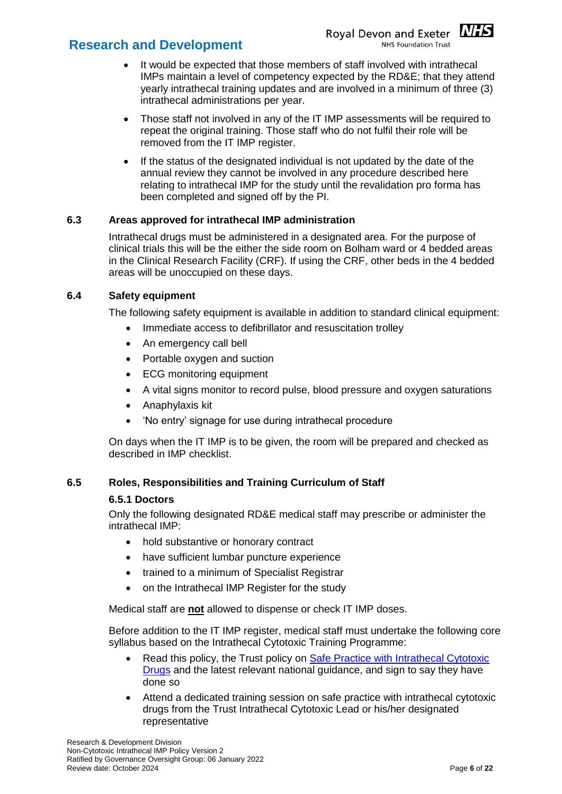

- It would be expected that those members of staff involved with intrathecal IMPs maintain a level of competency expected by the RD&E; that they attend yearly intrathecal training updates and are involved in a minimum of three (3) intrathecal administrations per year.
- Those staff not involved in any of the IT IMP assessments will be required to repeat the original training. Those staff who do not fulfil their role will be removed from the IT IMP register.
- If the status of the designated individual is not updated by the date of the annual review they cannot be involved in any procedure described here relating to intrathecal IMP for the study until the revalidation pro forma has been completed and signed off by the PI.

#### **6.3 Areas approved for intrathecal IMP administration**

Intrathecal drugs must be administered in a designated area. For the purpose of clinical trials this will be the either the side room on Bolham ward or 4 bedded areas in the Clinical Research Facility (CRF). If using the CRF, other beds in the 4 bedded areas will be unoccupied on these days.

#### **6.4 Safety equipment**

The following safety equipment is available in addition to standard clinical equipment:

- Immediate access to defibrillator and resuscitation trolley
- An emergency call bell
- Portable oxygen and suction
- ECG monitoring equipment
- A vital signs monitor to record pulse, blood pressure and oxygen saturations
- Anaphylaxis kit
- 'No entry' signage for use during intrathecal procedure

On days when the IT IMP is to be given, the room will be prepared and checked as described in IMP checklist.

#### **6.5 Roles, Responsibilities and Training Curriculum of Staff**

#### **6.5.1 Doctors**

Only the following designated RD&E medical staff may prescribe or administer the intrathecal IMP:

- hold substantive or honorary contract
- have sufficient lumbar puncture experience
- trained to a minimum of Specialist Registrar
- on the Intrathecal IMP Register for the study

Medical staff are **not** allowed to dispense or check IT IMP doses.

Before addition to the IT IMP register, medical staff must undertake the following core syllabus based on the Intrathecal Cytotoxic Training Programme:

- Read this policy, the Trust policy on [Safe Practice with Intrathecal Cytotoxic](https://hub.exe.nhs.uk/EasysiteWeb/getresource.axd?AssetID=3826&type=Full&servicetype=Attachment)  [Drugs](https://hub.exe.nhs.uk/EasysiteWeb/getresource.axd?AssetID=3826&type=Full&servicetype=Attachment) and the latest relevant national guidance, and sign to say they have done so
- Attend a dedicated training session on safe practice with intrathecal cytotoxic drugs from the Trust Intrathecal Cytotoxic Lead or his/her designated representative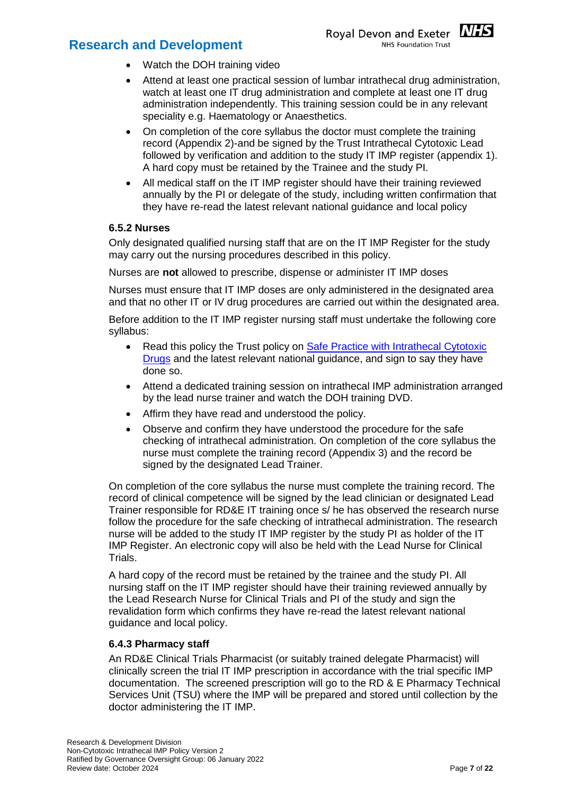

- Watch the DOH training video
- Attend at least one practical session of lumbar intrathecal drug administration, watch at least one IT drug administration and complete at least one IT drug administration independently. This training session could be in any relevant speciality e.g. Haematology or Anaesthetics.
- On completion of the core syllabus the doctor must complete the training record (Appendix 2)-and be signed by the Trust Intrathecal Cytotoxic Lead followed by verification and addition to the study IT IMP register (appendix 1). A hard copy must be retained by the Trainee and the study PI.
- All medical staff on the IT IMP register should have their training reviewed annually by the PI or delegate of the study, including written confirmation that they have re-read the latest relevant national guidance and local policy

#### **6.5.2 Nurses**

Only designated qualified nursing staff that are on the IT IMP Register for the study may carry out the nursing procedures described in this policy.

Nurses are **not** allowed to prescribe, dispense or administer IT IMP doses

Nurses must ensure that IT IMP doses are only administered in the designated area and that no other IT or IV drug procedures are carried out within the designated area.

Before addition to the IT IMP register nursing staff must undertake the following core syllabus:

- Read this policy the Trust policy on [Safe Practice with Intrathecal Cytotoxic](https://hub.exe.nhs.uk/EasysiteWeb/getresource.axd?AssetID=3826&type=Full&servicetype=Attachment)  [Drugs](https://hub.exe.nhs.uk/EasysiteWeb/getresource.axd?AssetID=3826&type=Full&servicetype=Attachment) and the latest relevant national guidance, and sign to say they have done so.
- Attend a dedicated training session on intrathecal IMP administration arranged by the lead nurse trainer and watch the DOH training DVD.
- Affirm they have read and understood the policy.
- Observe and confirm they have understood the procedure for the safe checking of intrathecal administration. On completion of the core syllabus the nurse must complete the training record (Appendix 3) and the record be signed by the designated Lead Trainer.

On completion of the core syllabus the nurse must complete the training record. The record of clinical competence will be signed by the lead clinician or designated Lead Trainer responsible for RD&E IT training once s/ he has observed the research nurse follow the procedure for the safe checking of intrathecal administration. The research nurse will be added to the study IT IMP register by the study PI as holder of the IT IMP Register. An electronic copy will also be held with the Lead Nurse for Clinical Trials.

A hard copy of the record must be retained by the trainee and the study PI. All nursing staff on the IT IMP register should have their training reviewed annually by the Lead Research Nurse for Clinical Trials and PI of the study and sign the revalidation form which confirms they have re-read the latest relevant national guidance and local policy.

#### **6.4.3 Pharmacy staff**

An RD&E Clinical Trials Pharmacist (or suitably trained delegate Pharmacist) will clinically screen the trial IT IMP prescription in accordance with the trial specific IMP documentation. The screened prescription will go to the RD & E Pharmacy Technical Services Unit (TSU) where the IMP will be prepared and stored until collection by the doctor administering the IT IMP.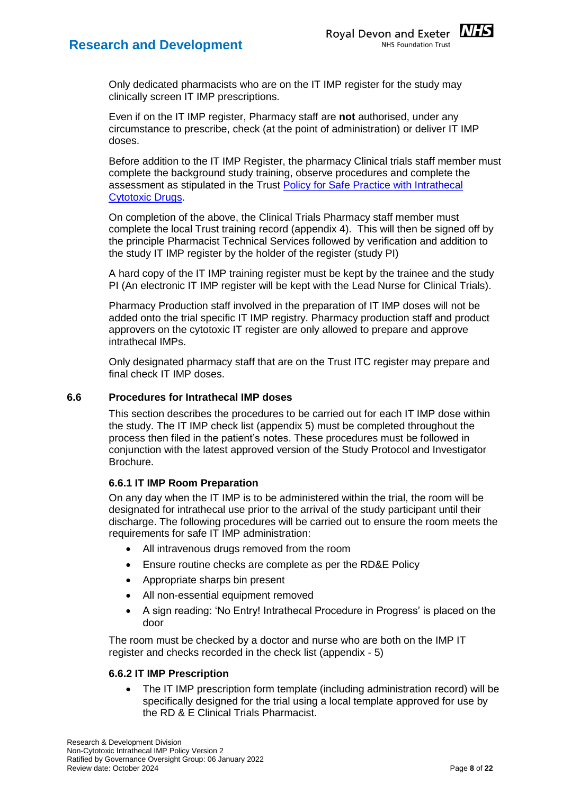

Even if on the IT IMP register, Pharmacy staff are **not** authorised, under any circumstance to prescribe, check (at the point of administration) or deliver IT IMP doses.

Before addition to the IT IMP Register, the pharmacy Clinical trials staff member must complete the background study training, observe procedures and complete the assessment as stipulated in the Trust [Policy for Safe Practice with Intrathecal](https://hub.exe.nhs.uk/EasysiteWeb/getresource.axd?AssetID=3826&type=Full&servicetype=Attachment)  [Cytotoxic Drugs.](https://hub.exe.nhs.uk/EasysiteWeb/getresource.axd?AssetID=3826&type=Full&servicetype=Attachment)

On completion of the above, the Clinical Trials Pharmacy staff member must complete the local Trust training record (appendix 4). This will then be signed off by the principle Pharmacist Technical Services followed by verification and addition to the study IT IMP register by the holder of the register (study PI)

A hard copy of the IT IMP training register must be kept by the trainee and the study PI (An electronic IT IMP register will be kept with the Lead Nurse for Clinical Trials).

Pharmacy Production staff involved in the preparation of IT IMP doses will not be added onto the trial specific IT IMP registry. Pharmacy production staff and product approvers on the cytotoxic IT register are only allowed to prepare and approve intrathecal IMPs.

Only designated pharmacy staff that are on the Trust ITC register may prepare and final check IT IMP doses.

#### **6.6 Procedures for Intrathecal IMP doses**

This section describes the procedures to be carried out for each IT IMP dose within the study. The IT IMP check list (appendix 5) must be completed throughout the process then filed in the patient's notes. These procedures must be followed in conjunction with the latest approved version of the Study Protocol and Investigator Brochure.

#### **6.6.1 IT IMP Room Preparation**

On any day when the IT IMP is to be administered within the trial, the room will be designated for intrathecal use prior to the arrival of the study participant until their discharge. The following procedures will be carried out to ensure the room meets the requirements for safe IT IMP administration:

- All intravenous drugs removed from the room
- Ensure routine checks are complete as per the RD&E Policy
- Appropriate sharps bin present
- All non-essential equipment removed
- A sign reading: 'No Entry! Intrathecal Procedure in Progress' is placed on the door

The room must be checked by a doctor and nurse who are both on the IMP IT register and checks recorded in the check list (appendix - 5)

#### **6.6.2 IT IMP Prescription**

 The IT IMP prescription form template (including administration record) will be specifically designed for the trial using a local template approved for use by the RD & E Clinical Trials Pharmacist.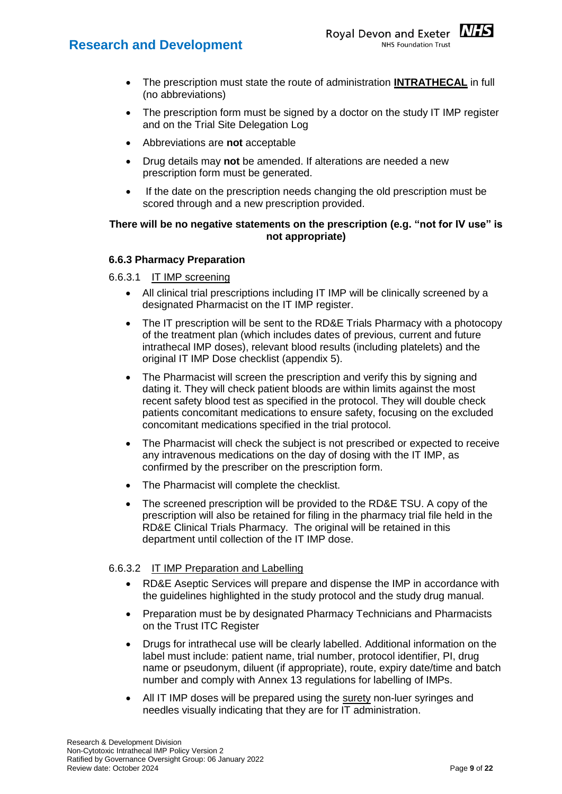- The prescription must state the route of administration **INTRATHECAL** in full (no abbreviations)
- The prescription form must be signed by a doctor on the study IT IMP register and on the Trial Site Delegation Log
- Abbreviations are **not** acceptable
- Drug details may **not** be amended. If alterations are needed a new prescription form must be generated.
- If the date on the prescription needs changing the old prescription must be scored through and a new prescription provided.

#### **There will be no negative statements on the prescription (e.g. "not for IV use" is not appropriate)**

#### **6.6.3 Pharmacy Preparation**

- 6.6.3.1 IT IMP screening
	- All clinical trial prescriptions including IT IMP will be clinically screened by a designated Pharmacist on the IT IMP register.
	- The IT prescription will be sent to the RD&E Trials Pharmacy with a photocopy of the treatment plan (which includes dates of previous, current and future intrathecal IMP doses), relevant blood results (including platelets) and the original IT IMP Dose checklist (appendix 5).
	- The Pharmacist will screen the prescription and verify this by signing and dating it. They will check patient bloods are within limits against the most recent safety blood test as specified in the protocol. They will double check patients concomitant medications to ensure safety, focusing on the excluded concomitant medications specified in the trial protocol.
	- The Pharmacist will check the subject is not prescribed or expected to receive any intravenous medications on the day of dosing with the IT IMP, as confirmed by the prescriber on the prescription form.
	- The Pharmacist will complete the checklist.
	- The screened prescription will be provided to the RD&E TSU. A copy of the prescription will also be retained for filing in the pharmacy trial file held in the RD&E Clinical Trials Pharmacy. The original will be retained in this department until collection of the IT IMP dose.

#### 6.6.3.2 IT IMP Preparation and Labelling

- RD&E Aseptic Services will prepare and dispense the IMP in accordance with the guidelines highlighted in the study protocol and the study drug manual.
- Preparation must be by designated Pharmacy Technicians and Pharmacists on the Trust ITC Register
- Drugs for intrathecal use will be clearly labelled. Additional information on the label must include: patient name, trial number, protocol identifier, PI, drug name or pseudonym, diluent (if appropriate), route, expiry date/time and batch number and comply with Annex 13 regulations for labelling of IMPs.
- All IT IMP doses will be prepared using the surety non-luer syringes and needles visually indicating that they are for IT administration.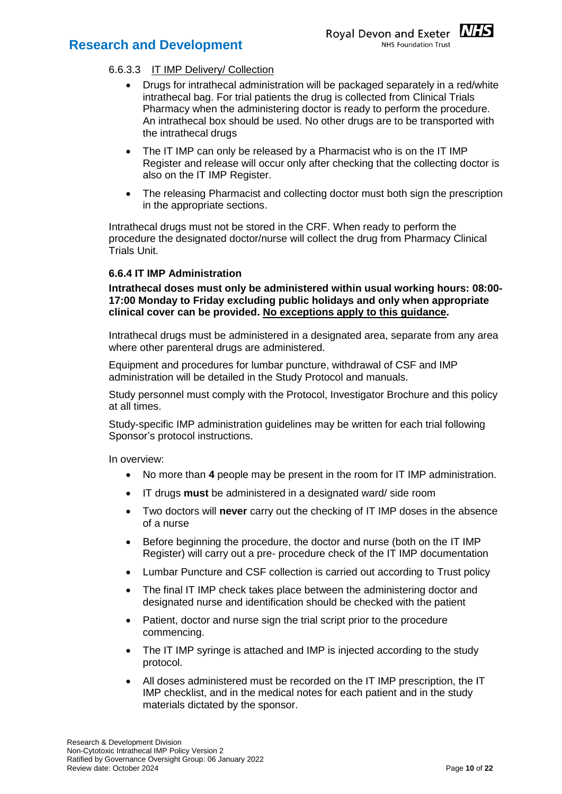

- Drugs for intrathecal administration will be packaged separately in a red/white intrathecal bag. For trial patients the drug is collected from Clinical Trials Pharmacy when the administering doctor is ready to perform the procedure. An intrathecal box should be used. No other drugs are to be transported with the intrathecal drugs
- The IT IMP can only be released by a Pharmacist who is on the IT IMP Register and release will occur only after checking that the collecting doctor is also on the IT IMP Register.
- The releasing Pharmacist and collecting doctor must both sign the prescription in the appropriate sections.

Intrathecal drugs must not be stored in the CRF. When ready to perform the procedure the designated doctor/nurse will collect the drug from Pharmacy Clinical Trials Unit.

#### **6.6.4 IT IMP Administration**

**Intrathecal doses must only be administered within usual working hours: 08:00- 17:00 Monday to Friday excluding public holidays and only when appropriate clinical cover can be provided. No exceptions apply to this guidance.**

Intrathecal drugs must be administered in a designated area, separate from any area where other parenteral drugs are administered.

Equipment and procedures for lumbar puncture, withdrawal of CSF and IMP administration will be detailed in the Study Protocol and manuals.

Study personnel must comply with the Protocol, Investigator Brochure and this policy at all times.

Study-specific IMP administration guidelines may be written for each trial following Sponsor's protocol instructions.

In overview:

- No more than **4** people may be present in the room for IT IMP administration.
- IT drugs **must** be administered in a designated ward/ side room
- Two doctors will **never** carry out the checking of IT IMP doses in the absence of a nurse
- Before beginning the procedure, the doctor and nurse (both on the IT IMP Register) will carry out a pre- procedure check of the IT IMP documentation
- Lumbar Puncture and CSF collection is carried out according to Trust policy
- The final IT IMP check takes place between the administering doctor and designated nurse and identification should be checked with the patient
- Patient, doctor and nurse sign the trial script prior to the procedure commencing.
- The IT IMP syringe is attached and IMP is injected according to the study protocol.
- All doses administered must be recorded on the IT IMP prescription, the IT IMP checklist, and in the medical notes for each patient and in the study materials dictated by the sponsor.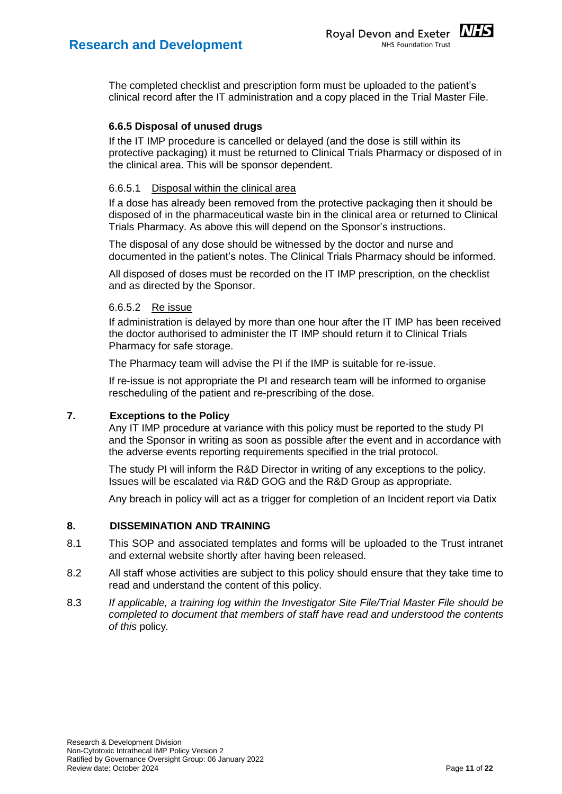The completed checklist and prescription form must be uploaded to the patient's clinical record after the IT administration and a copy placed in the Trial Master File.

#### **6.6.5 Disposal of unused drugs**

If the IT IMP procedure is cancelled or delayed (and the dose is still within its protective packaging) it must be returned to Clinical Trials Pharmacy or disposed of in the clinical area. This will be sponsor dependent.

#### 6.6.5.1 Disposal within the clinical area

If a dose has already been removed from the protective packaging then it should be disposed of in the pharmaceutical waste bin in the clinical area or returned to Clinical Trials Pharmacy. As above this will depend on the Sponsor's instructions.

The disposal of any dose should be witnessed by the doctor and nurse and documented in the patient's notes. The Clinical Trials Pharmacy should be informed.

All disposed of doses must be recorded on the IT IMP prescription, on the checklist and as directed by the Sponsor.

#### 6.6.5.2 Re issue

If administration is delayed by more than one hour after the IT IMP has been received the doctor authorised to administer the IT IMP should return it to Clinical Trials Pharmacy for safe storage.

The Pharmacy team will advise the PI if the IMP is suitable for re-issue.

If re-issue is not appropriate the PI and research team will be informed to organise rescheduling of the patient and re-prescribing of the dose.

#### <span id="page-10-0"></span>**7. Exceptions to the Policy**

Any IT IMP procedure at variance with this policy must be reported to the study PI and the Sponsor in writing as soon as possible after the event and in accordance with the adverse events reporting requirements specified in the trial protocol.

The study PI will inform the R&D Director in writing of any exceptions to the policy. Issues will be escalated via R&D GOG and the R&D Group as appropriate.

Any breach in policy will act as a trigger for completion of an Incident report via Datix

#### <span id="page-10-1"></span>**8. DISSEMINATION AND TRAINING**

- 8.1 This SOP and associated templates and forms will be uploaded to the Trust intranet and external website shortly after having been released.
- 8.2 All staff whose activities are subject to this policy should ensure that they take time to read and understand the content of this policy.
- 8.3 *If applicable, a training log within the Investigator Site File/Trial Master File should be completed to document that members of staff have read and understood the contents of this* policy*.*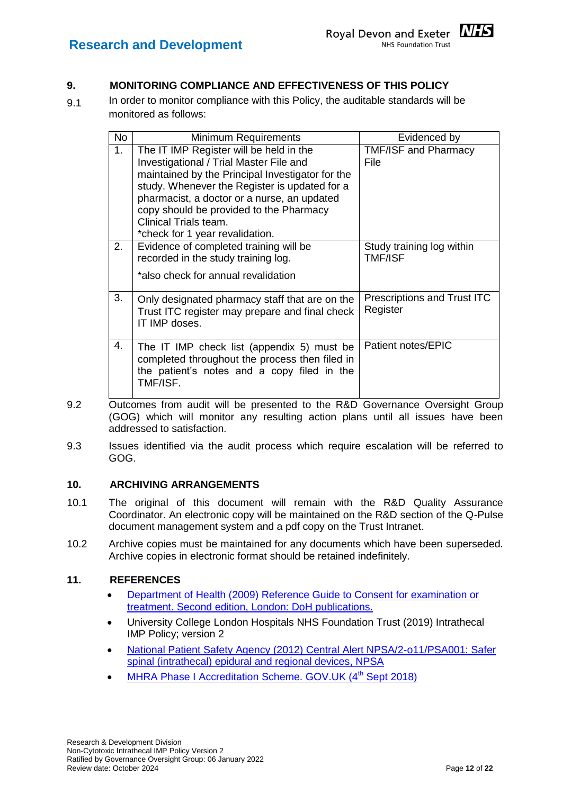<span id="page-11-0"></span>

9.1 In order to monitor compliance with this Policy, the auditable standards will be monitored as follows:

| <b>No</b> | <b>Minimum Requirements</b>                                                                                                                                                                                                                                                                                                                   | Evidenced by                                   |
|-----------|-----------------------------------------------------------------------------------------------------------------------------------------------------------------------------------------------------------------------------------------------------------------------------------------------------------------------------------------------|------------------------------------------------|
| 1.        | The IT IMP Register will be held in the<br>Investigational / Trial Master File and<br>maintained by the Principal Investigator for the<br>study. Whenever the Register is updated for a<br>pharmacist, a doctor or a nurse, an updated<br>copy should be provided to the Pharmacy<br>Clinical Trials team.<br>*check for 1 year revalidation. | <b>TMF/ISF and Pharmacy</b><br>File            |
| 2.        | Evidence of completed training will be<br>recorded in the study training log.<br>*also check for annual revalidation                                                                                                                                                                                                                          | Study training log within<br><b>TMF/ISF</b>    |
| 3.        | Only designated pharmacy staff that are on the<br>Trust ITC register may prepare and final check<br>IT IMP doses.                                                                                                                                                                                                                             | <b>Prescriptions and Trust ITC</b><br>Register |
| 4.        | The IT IMP check list (appendix 5) must be<br>completed throughout the process then filed in<br>the patient's notes and a copy filed in the<br>TMF/ISF.                                                                                                                                                                                       | Patient notes/EPIC                             |

- 9.2 Outcomes from audit will be presented to the R&D Governance Oversight Group (GOG) which will monitor any resulting action plans until all issues have been addressed to satisfaction.
- 9.3 Issues identified via the audit process which require escalation will be referred to GOG.

#### <span id="page-11-1"></span>**10. ARCHIVING ARRANGEMENTS**

- 10.1 The original of this document will remain with the R&D Quality Assurance Coordinator. An electronic copy will be maintained on the R&D section of the Q-Pulse document management system and a pdf copy on the Trust Intranet.
- 10.2 Archive copies must be maintained for any documents which have been superseded. Archive copies in electronic format should be retained indefinitely.

#### <span id="page-11-2"></span>**11. REFERENCES**

- [Department of Health \(2009\) Reference Guide to Consent for examination or](https://www.gov.uk/government/publications/reference-guide-to-consent-for-examination-or-treatment-second-edition)  [treatment. Second edition, London: DoH publications.](https://www.gov.uk/government/publications/reference-guide-to-consent-for-examination-or-treatment-second-edition)
- University College London Hospitals NHS Foundation Trust (2019) Intrathecal IMP Policy; version 2
- [National Patient Safety Agency \(2012\) Central Alert NPSA/2-o11/PSA001: Safer](https://www.england.nhs.uk/wp-content/uploads/2014/02/non-Luer-spinal-supp.pdf)  [spinal \(intrathecal\) epidural and regional devices, NPSA](https://www.england.nhs.uk/wp-content/uploads/2014/02/non-Luer-spinal-supp.pdf)
- [MHRA Phase I Accreditation Scheme. GOV.UK \(4](https://www.gov.uk/guidance/mhra-phase-i-accreditation-scheme)<sup>th</sup> Sept 2018)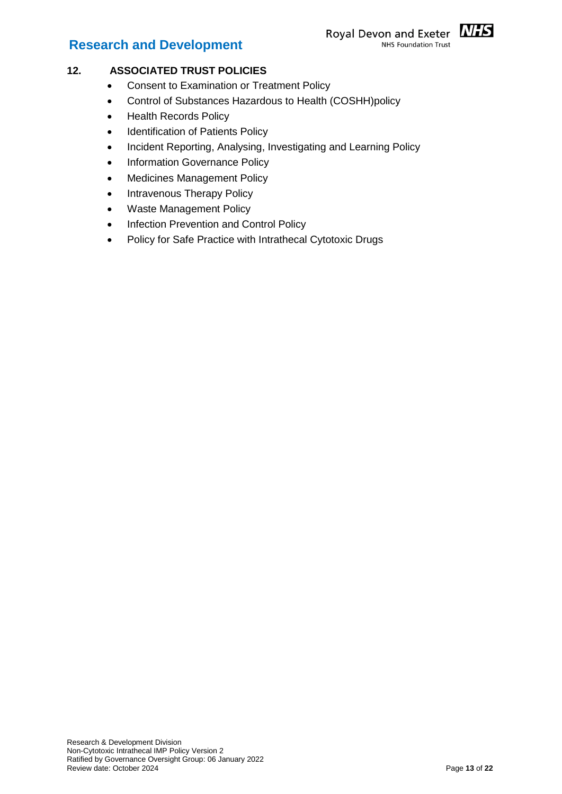#### Royal Devon and Exeter MHS **NHS Foundation Trust**



#### <span id="page-12-0"></span>**12. ASSOCIATED TRUST POLICIES**

- Consent to Examination or Treatment Policy
- Control of Substances Hazardous to Health (COSHH)policy
- Health Records Policy
- Identification of Patients Policy
- Incident Reporting, Analysing, Investigating and Learning Policy
- Information Governance Policy
- Medicines Management Policy
- Intravenous Therapy Policy
- Waste Management Policy
- Infection Prevention and Control Policy
- Policy for Safe Practice with Intrathecal Cytotoxic Drugs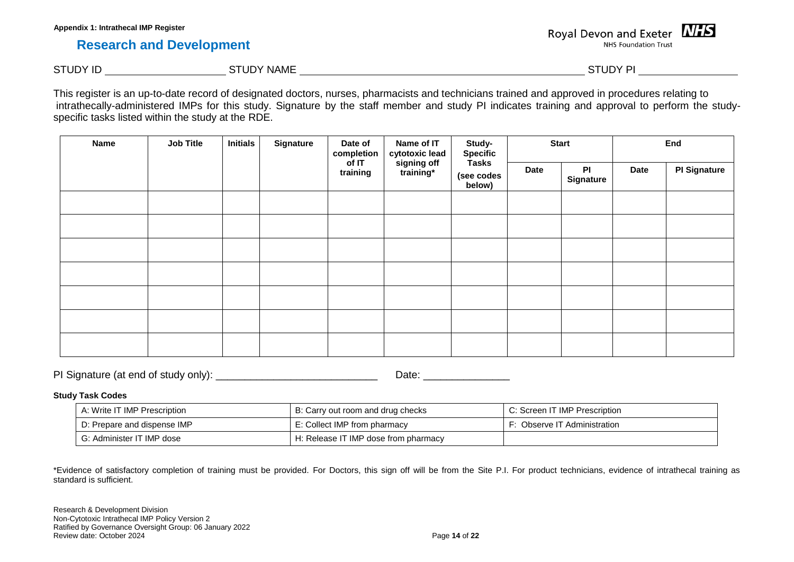Royal Devon and Exeter MIS **NHS Foundation Trust** 

STUDY ID STUDY NAME STUDY NAME

This register is an up-to-date record of designated doctors, nurses, pharmacists and technicians trained and approved in procedures relating to intrathecally-administered IMPs for this study. Signature by the staff member and study PI indicates training and approval to perform the studyspecific tasks listed within the study at the RDE.

| <b>Name</b> | <b>Job Title</b> | <b>Initials</b><br>Signature |  | Date of<br>completion |                          | Name of IT<br>cytotoxic lead         | Study-<br><b>Specific</b> |                        |      | <b>Start</b> |  | End |
|-------------|------------------|------------------------------|--|-----------------------|--------------------------|--------------------------------------|---------------------------|------------------------|------|--------------|--|-----|
|             |                  |                              |  | of IT<br>training     | signing off<br>training* | <b>Tasks</b><br>(see codes<br>below) | <b>Date</b>               | PI<br><b>Signature</b> | Date | PI Signature |  |     |
|             |                  |                              |  |                       |                          |                                      |                           |                        |      |              |  |     |
|             |                  |                              |  |                       |                          |                                      |                           |                        |      |              |  |     |
|             |                  |                              |  |                       |                          |                                      |                           |                        |      |              |  |     |
|             |                  |                              |  |                       |                          |                                      |                           |                        |      |              |  |     |
|             |                  |                              |  |                       |                          |                                      |                           |                        |      |              |  |     |
|             |                  |                              |  |                       |                          |                                      |                           |                        |      |              |  |     |
|             |                  |                              |  |                       |                          |                                      |                           |                        |      |              |  |     |

PI Signature (at end of study only): \_\_\_\_\_\_\_\_\_\_\_\_\_\_\_\_\_\_\_\_\_\_\_\_\_\_\_\_ Date: \_\_\_\_\_\_\_\_\_\_\_\_\_\_\_

#### **Study Task Codes**

| A: Write IT IMP Prescription           | B: Carry out room and drug checks    | C: Screen IT IMP Prescription |
|----------------------------------------|--------------------------------------|-------------------------------|
| D: Prepare and dispense IMP            | E: Collect IMP from pharmacy         | · Observe IT Administration   |
| <sup>1</sup> G: Administer IT IMP dose | H: Release IT IMP dose from pharmacy |                               |

\*Evidence of satisfactory completion of training must be provided. For Doctors, this sign off will be from the Site P.I. For product technicians, evidence of intrathecal training as standard is sufficient.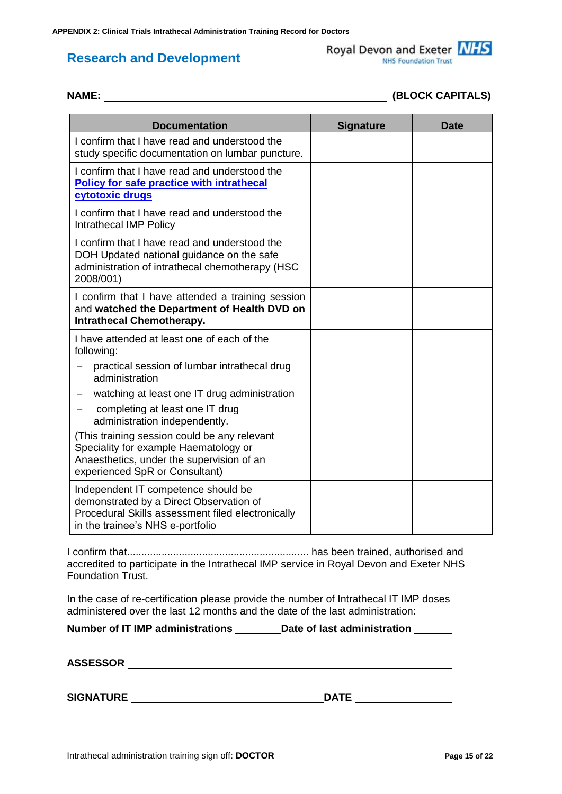Royal Devon and Exeter NHS **NHS Foundation Trust** 

| <b>Documentation</b>                                                                                                                                                 | <b>Signature</b> | <b>Date</b> |
|----------------------------------------------------------------------------------------------------------------------------------------------------------------------|------------------|-------------|
| I confirm that I have read and understood the<br>study specific documentation on lumbar puncture.                                                                    |                  |             |
| I confirm that I have read and understood the<br><b>Policy for safe practice with intrathecal</b><br>cytotoxic drugs                                                 |                  |             |
| I confirm that I have read and understood the<br>Intrathecal IMP Policy                                                                                              |                  |             |
| I confirm that I have read and understood the<br>DOH Updated national guidance on the safe<br>administration of intrathecal chemotherapy (HSC<br>2008/001)           |                  |             |
| I confirm that I have attended a training session<br>and watched the Department of Health DVD on<br><b>Intrathecal Chemotherapy.</b>                                 |                  |             |
| I have attended at least one of each of the<br>following:                                                                                                            |                  |             |
| practical session of lumbar intrathecal drug<br>administration                                                                                                       |                  |             |
| watching at least one IT drug administration                                                                                                                         |                  |             |
| completing at least one IT drug<br>administration independently.                                                                                                     |                  |             |
| (This training session could be any relevant<br>Speciality for example Haematology or<br>Anaesthetics, under the supervision of an<br>experienced SpR or Consultant) |                  |             |
| Independent IT competence should be<br>demonstrated by a Direct Observation of<br>Procedural Skills assessment filed electronically                                  |                  |             |

I confirm that............................................................... has been trained, authorised and accredited to participate in the Intrathecal IMP service in Royal Devon and Exeter NHS Foundation Trust.

In the case of re-certification please provide the number of Intrathecal IT IMP doses administered over the last 12 months and the date of the last administration:

**Number of IT IMP administrations Date of last administration**

**ASSESSOR** 

**SIGNATURE DATE**

in the trainee's NHS e-portfolio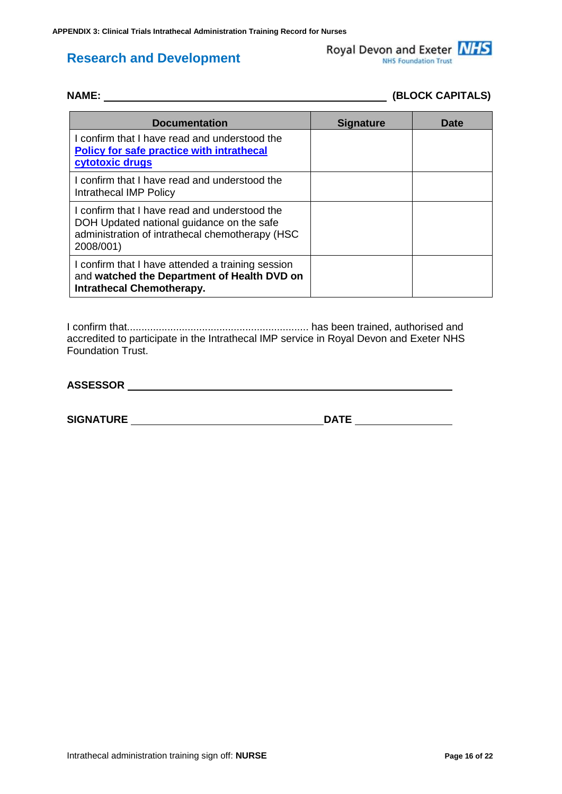Royal Devon and Exeter NHS **NHS Foundation Trust** 

# **NAME: (BLOCK CAPITALS)**

| <b>Documentation</b>                                                                                                                                       | <b>Signature</b> | <b>Date</b> |
|------------------------------------------------------------------------------------------------------------------------------------------------------------|------------------|-------------|
| I confirm that I have read and understood the<br><b>Policy for safe practice with intrathecal</b><br>cytotoxic drugs                                       |                  |             |
| I confirm that I have read and understood the<br>Intrathecal IMP Policy                                                                                    |                  |             |
| I confirm that I have read and understood the<br>DOH Updated national guidance on the safe<br>administration of intrathecal chemotherapy (HSC<br>2008/001) |                  |             |
| I confirm that I have attended a training session<br>and watched the Department of Health DVD on<br><b>Intrathecal Chemotherapy.</b>                       |                  |             |

I confirm that............................................................... has been trained, authorised and accredited to participate in the Intrathecal IMP service in Royal Devon and Exeter NHS Foundation Trust.

**ASSESSOR** 

**SIGNATURE DATE**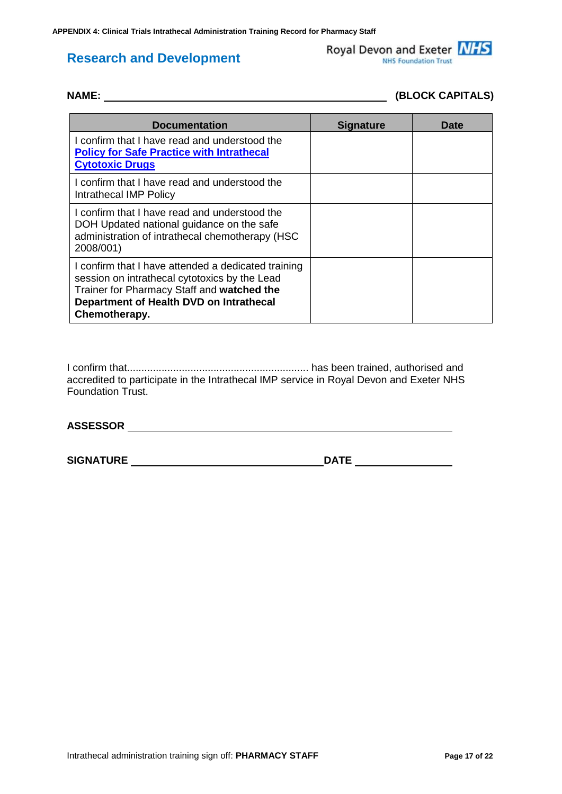Royal Devon and Exeter NHS NHS Foundation Trust

| <b>Documentation</b>                                                                                                                                                                                           | <b>Signature</b> | Date |
|----------------------------------------------------------------------------------------------------------------------------------------------------------------------------------------------------------------|------------------|------|
| I confirm that I have read and understood the<br><b>Policy for Safe Practice with Intrathecal</b><br><b>Cytotoxic Drugs</b>                                                                                    |                  |      |
| I confirm that I have read and understood the<br>Intrathecal IMP Policy                                                                                                                                        |                  |      |
| I confirm that I have read and understood the<br>DOH Updated national guidance on the safe<br>administration of intrathecal chemotherapy (HSC<br>2008/001)                                                     |                  |      |
| I confirm that I have attended a dedicated training<br>session on intrathecal cytotoxics by the Lead<br>Trainer for Pharmacy Staff and watched the<br>Department of Health DVD on Intrathecal<br>Chemotherapy. |                  |      |

NAME: (BLOCK CAPITALS)

I confirm that............................................................... has been trained, authorised and accredited to participate in the Intrathecal IMP service in Royal Devon and Exeter NHS Foundation Trust.

**ASSESSOR** 

**SIGNATURE** DATE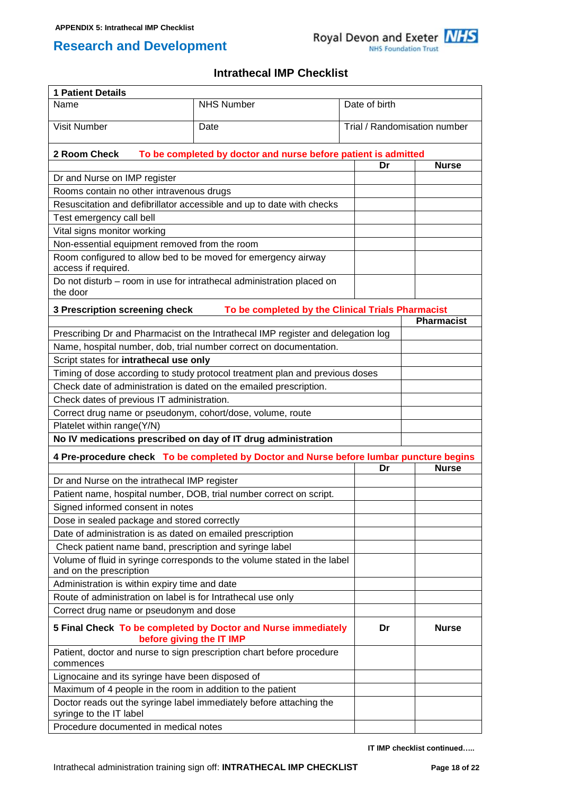

## **Intrathecal IMP Checklist**

| <b>1 Patient Details</b>                                                             |                                                                                           |               |                              |  |
|--------------------------------------------------------------------------------------|-------------------------------------------------------------------------------------------|---------------|------------------------------|--|
| Name                                                                                 | <b>NHS Number</b>                                                                         | Date of birth |                              |  |
| <b>Visit Number</b>                                                                  | Date                                                                                      |               | Trial / Randomisation number |  |
| 2 Room Check                                                                         | To be completed by doctor and nurse before patient is admitted                            |               |                              |  |
|                                                                                      |                                                                                           | Dr            | <b>Nurse</b>                 |  |
| Dr and Nurse on IMP register<br>Rooms contain no other intravenous drugs             |                                                                                           |               |                              |  |
|                                                                                      | Resuscitation and defibrillator accessible and up to date with checks                     |               |                              |  |
| Test emergency call bell                                                             |                                                                                           |               |                              |  |
| Vital signs monitor working                                                          |                                                                                           |               |                              |  |
| Non-essential equipment removed from the room                                        |                                                                                           |               |                              |  |
| Room configured to allow bed to be moved for emergency airway<br>access if required. |                                                                                           |               |                              |  |
| the door                                                                             | Do not disturb - room in use for intrathecal administration placed on                     |               |                              |  |
|                                                                                      |                                                                                           |               |                              |  |
| 3 Prescription screening check                                                       | To be completed by the Clinical Trials Pharmacist                                         |               | <b>Pharmacist</b>            |  |
|                                                                                      | Prescribing Dr and Pharmacist on the Intrathecal IMP register and delegation log          |               |                              |  |
|                                                                                      | Name, hospital number, dob, trial number correct on documentation.                        |               |                              |  |
| Script states for intrathecal use only                                               |                                                                                           |               |                              |  |
|                                                                                      | Timing of dose according to study protocol treatment plan and previous doses              |               |                              |  |
| Check date of administration is dated on the emailed prescription.                   |                                                                                           |               |                              |  |
| Check dates of previous IT administration.                                           |                                                                                           |               |                              |  |
| Correct drug name or pseudonym, cohort/dose, volume, route                           |                                                                                           |               |                              |  |
| Platelet within range(Y/N)                                                           |                                                                                           |               |                              |  |
|                                                                                      | No IV medications prescribed on day of IT drug administration                             |               |                              |  |
|                                                                                      | 4 Pre-procedure check To be completed by Doctor and Nurse before lumbar puncture begins   |               |                              |  |
|                                                                                      |                                                                                           | Dr            | <b>Nurse</b>                 |  |
| Dr and Nurse on the intrathecal IMP register                                         |                                                                                           |               |                              |  |
|                                                                                      | Patient name, hospital number, DOB, trial number correct on script.                       |               |                              |  |
| Signed informed consent in notes                                                     |                                                                                           |               |                              |  |
| Dose in sealed package and stored correctly                                          |                                                                                           |               |                              |  |
| Date of administration is as dated on emailed prescription                           |                                                                                           |               |                              |  |
| Check patient name band, prescription and syringe label                              |                                                                                           |               |                              |  |
| and on the prescription                                                              | Volume of fluid in syringe corresponds to the volume stated in the label                  |               |                              |  |
| Administration is within expiry time and date                                        |                                                                                           |               |                              |  |
| Route of administration on label is for Intrathecal use only                         |                                                                                           |               |                              |  |
| Correct drug name or pseudonym and dose                                              |                                                                                           |               |                              |  |
|                                                                                      | 5 Final Check To be completed by Doctor and Nurse immediately<br>before giving the IT IMP | Dr            | <b>Nurse</b>                 |  |
| commences                                                                            | Patient, doctor and nurse to sign prescription chart before procedure                     |               |                              |  |
| Lignocaine and its syringe have been disposed of                                     |                                                                                           |               |                              |  |
| Maximum of 4 people in the room in addition to the patient                           |                                                                                           |               |                              |  |
| syringe to the IT label                                                              | Doctor reads out the syringe label immediately before attaching the                       |               |                              |  |
| Procedure documented in medical notes                                                |                                                                                           |               |                              |  |

**IT IMP checklist continued…..**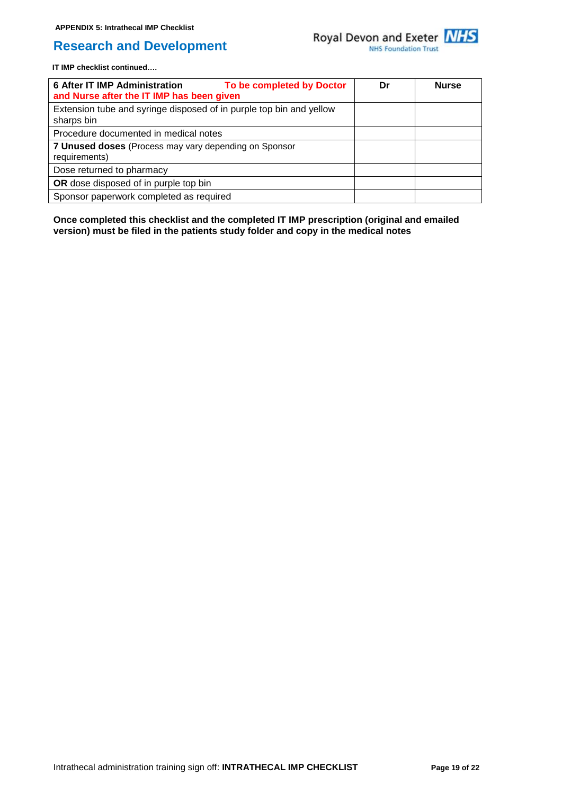

**IT IMP checklist continued….**

| <b>6 After IT IMP Administration</b><br>To be completed by Doctor<br>and Nurse after the IT IMP has been given | Dr | <b>Nurse</b> |
|----------------------------------------------------------------------------------------------------------------|----|--------------|
| Extension tube and syringe disposed of in purple top bin and yellow<br>sharps bin                              |    |              |
| Procedure documented in medical notes                                                                          |    |              |
| 7 Unused doses (Process may vary depending on Sponsor<br>requirements)                                         |    |              |
| Dose returned to pharmacy                                                                                      |    |              |
| OR dose disposed of in purple top bin                                                                          |    |              |
| Sponsor paperwork completed as required                                                                        |    |              |

**Once completed this checklist and the completed IT IMP prescription (original and emailed version) must be filed in the patients study folder and copy in the medical notes**

Intrathecal administration training sign off: **INTRATHECAL IMP CHECKLIST Page 19 of 22**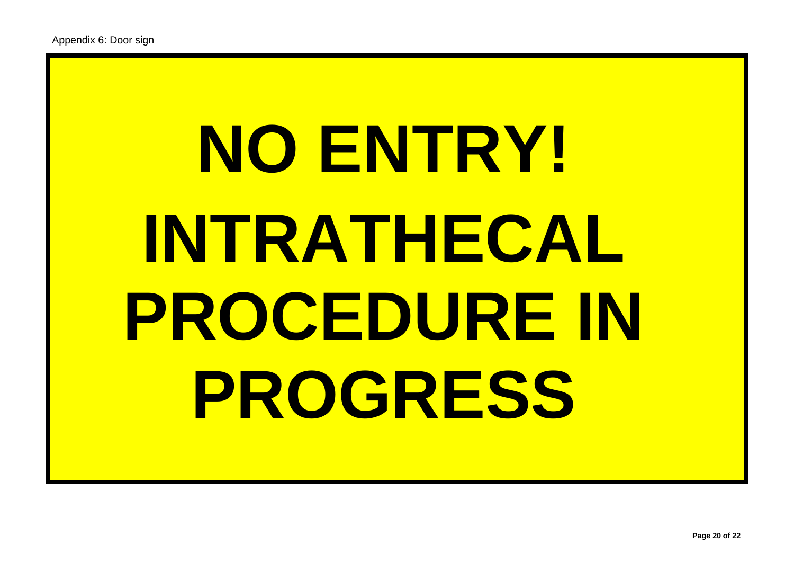# **NO ENTRY! INTRATHECAL PROCEDURE IN PROGRESS**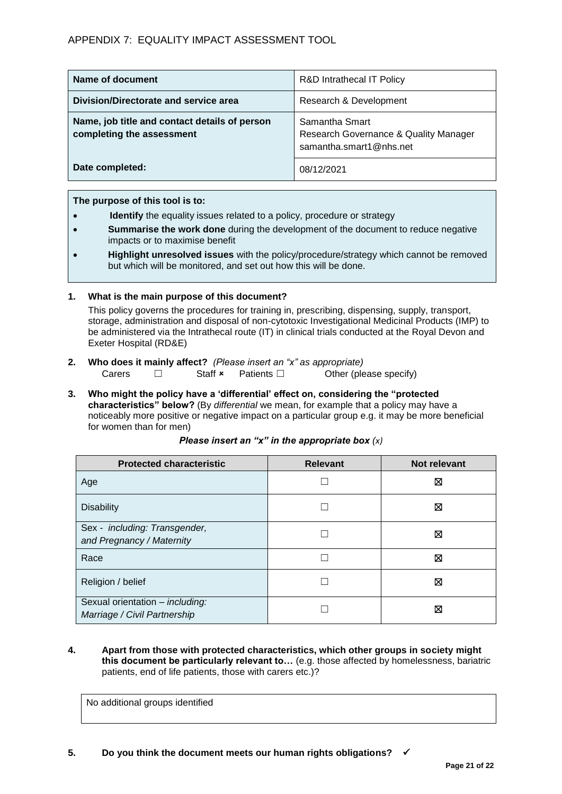| Name of document                                                           | <b>R&amp;D Intrathecal IT Policy</b>                                               |
|----------------------------------------------------------------------------|------------------------------------------------------------------------------------|
| Division/Directorate and service area                                      | Research & Development                                                             |
| Name, job title and contact details of person<br>completing the assessment | Samantha Smart<br>Research Governance & Quality Manager<br>samantha.smart1@nhs.net |
| Date completed:                                                            | 08/12/2021                                                                         |

**The purpose of this tool is to:**

- **Identify** the equality issues related to a policy, procedure or strategy
- **Summarise the work done** during the development of the document to reduce negative impacts or to maximise benefit
- **Highlight unresolved issues** with the policy/procedure/strategy which cannot be removed but which will be monitored, and set out how this will be done.

#### **1. What is the main purpose of this document?**

This policy governs the procedures for training in, prescribing, dispensing, supply, transport, storage, administration and disposal of non-cytotoxic Investigational Medicinal Products (IMP) to be administered via the Intrathecal route (IT) in clinical trials conducted at the Royal Devon and Exeter Hospital (RD&E)

- **2. Who does it mainly affect?** *(Please insert an "x" as appropriate)* Carers □ Staff **×** Patients □ Other (please specify)
- **3. Who might the policy have a 'differential' effect on, considering the "protected characteristics" below?** (By *differential* we mean, for example that a policy may have a noticeably more positive or negative impact on a particular group e.g. it may be more beneficial for women than for men)

| <b>Protected characteristic</b>                                 | <b>Relevant</b> | Not relevant |
|-----------------------------------------------------------------|-----------------|--------------|
| Age                                                             |                 | ⊠            |
| <b>Disability</b>                                               |                 | ⊠            |
| Sex - including: Transgender,<br>and Pregnancy / Maternity      |                 | ⊠            |
| Race                                                            |                 | ⊠            |
| Religion / belief                                               |                 | ⊠            |
| Sexual orientation - including:<br>Marriage / Civil Partnership |                 | ⊠            |

#### *Please insert an "x" in the appropriate box (x)*

**4. Apart from those with protected characteristics, which other groups in society might this document be particularly relevant to…** (e.g. those affected by homelessness, bariatric patients, end of life patients, those with carers etc.)?

No additional groups identified